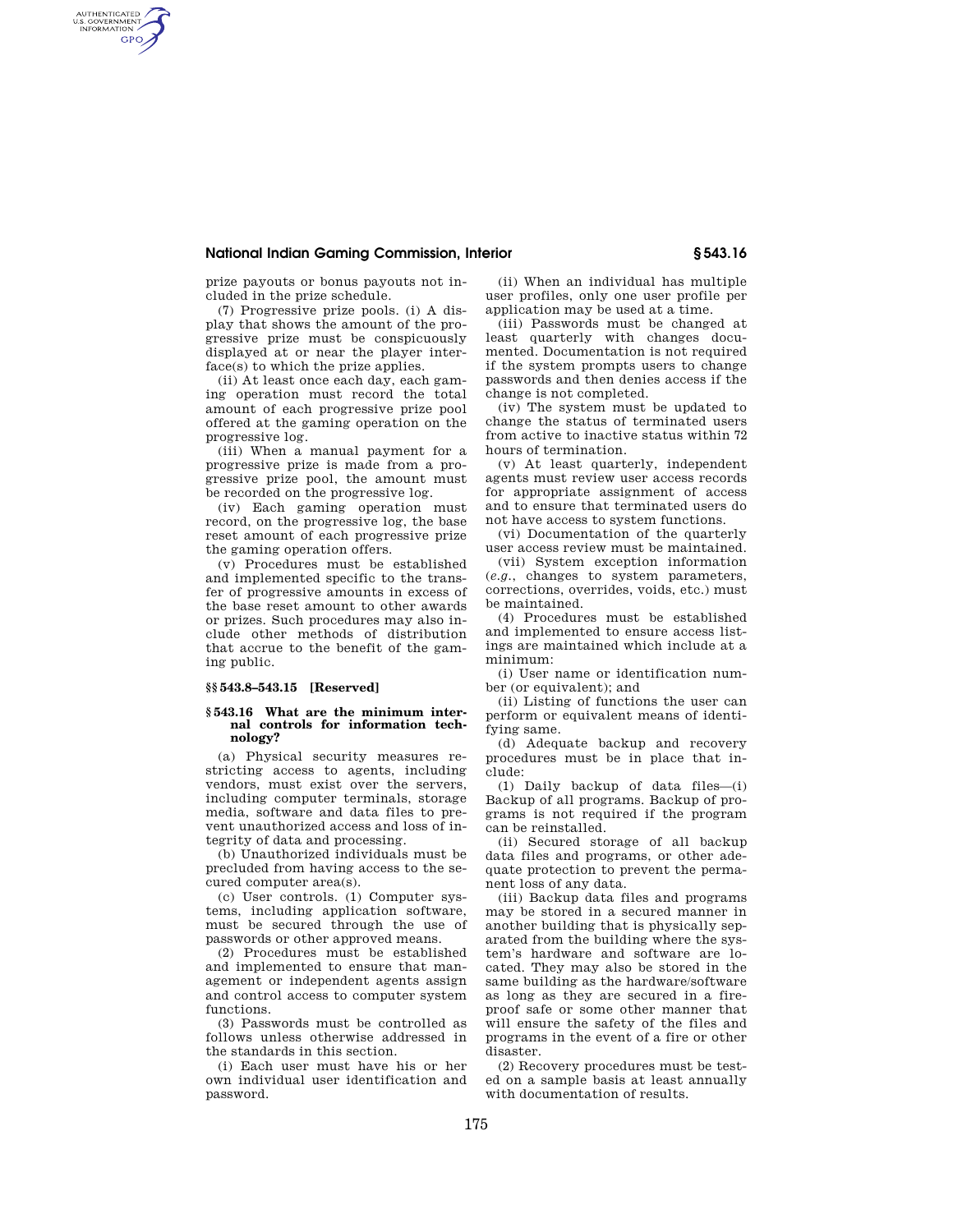## **National Indian Gaming Commission, Interior § 543.16**

prize payouts or bonus payouts not included in the prize schedule.

AUTHENTICATED<br>U.S. GOVERNMENT<br>INFORMATION **GPO** 

> (7) Progressive prize pools. (i) A display that shows the amount of the progressive prize must be conspicuously displayed at or near the player interface(s) to which the prize applies.

> (ii) At least once each day, each gaming operation must record the total amount of each progressive prize pool offered at the gaming operation on the progressive log.

> (iii) When a manual payment for a progressive prize is made from a progressive prize pool, the amount must be recorded on the progressive log.

> (iv) Each gaming operation must record, on the progressive log, the base reset amount of each progressive prize the gaming operation offers.

> (v) Procedures must be established and implemented specific to the transfer of progressive amounts in excess of the base reset amount to other awards or prizes. Such procedures may also include other methods of distribution that accrue to the benefit of the gaming public.

## **§§ 543.8–543.15 [Reserved]**

### **§ 543.16 What are the minimum internal controls for information technology?**

(a) Physical security measures restricting access to agents, including vendors, must exist over the servers, including computer terminals, storage media, software and data files to prevent unauthorized access and loss of integrity of data and processing.

(b) Unauthorized individuals must be precluded from having access to the secured computer area(s).

(c) User controls. (1) Computer systems, including application software, must be secured through the use of passwords or other approved means.

(2) Procedures must be established and implemented to ensure that management or independent agents assign and control access to computer system functions.

(3) Passwords must be controlled as follows unless otherwise addressed in the standards in this section.

(i) Each user must have his or her own individual user identification and password.

(ii) When an individual has multiple user profiles, only one user profile per application may be used at a time.

(iii) Passwords must be changed at least quarterly with changes documented. Documentation is not required if the system prompts users to change passwords and then denies access if the change is not completed.

(iv) The system must be updated to change the status of terminated users from active to inactive status within 72 hours of termination.

(v) At least quarterly, independent agents must review user access records for appropriate assignment of access and to ensure that terminated users do not have access to system functions.

(vi) Documentation of the quarterly user access review must be maintained.

(vii) System exception information (*e.g.*, changes to system parameters, corrections, overrides, voids, etc.) must be maintained.

(4) Procedures must be established and implemented to ensure access listings are maintained which include at a minimum:

(i) User name or identification number (or equivalent); and

(ii) Listing of functions the user can perform or equivalent means of identifying same.

(d) Adequate backup and recovery procedures must be in place that include:

(1) Daily backup of data files—(i) Backup of all programs. Backup of programs is not required if the program can be reinstalled.

(ii) Secured storage of all backup data files and programs, or other adequate protection to prevent the permanent loss of any data.

(iii) Backup data files and programs may be stored in a secured manner in another building that is physically separated from the building where the system's hardware and software are located. They may also be stored in the same building as the hardware/software as long as they are secured in a fireproof safe or some other manner that will ensure the safety of the files and programs in the event of a fire or other disaster.

(2) Recovery procedures must be tested on a sample basis at least annually with documentation of results.